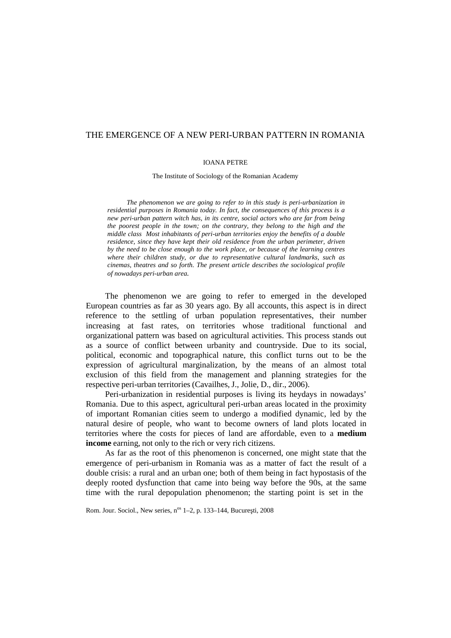# THE EMERGENCE OF A NEW PERI-URBAN PATTERN IN ROMANIA

## IOANA PETRE

The Institute of Sociology of the Romanian Academy

*The phenomenon we are going to refer to in this study is peri-urbanization in residential purposes in Romania today. In fact, the consequences of this process is a new peri-urban pattern witch has, in its centre, social actors who are far from being the poorest people in the town; on the contrary, they belong to the high and the middle class Most inhabitants of peri-urban territories enjoy the benefits of a double residence, since they have kept their old residence from the urban perimeter, driven by the need to be close enough to the work place, or because of the learning centres where their children study, or due to representative cultural landmarks, such as cinemas, theatres and so forth. The present article describes the sociological profile of nowadays peri-urban area.*

The phenomenon we are going to refer to emerged in the developed European countries as far as 30 years ago. By all accounts, this aspect is in direct reference to the settling of urban population representatives, their number increasing at fast rates, on territories whose traditional functional and organizational pattern was based on agricultural activities. This process stands out as a source of conflict between urbanity and countryside. Due to its social, political, economic and topographical nature, this conflict turns out to be the expression of agricultural marginalization, by the means of an almost total exclusion of this field from the management and planning strategies for the respective peri-urban territories (Cavailhes,J., Jolie, D., dir., 2006).

Peri-urbanization in residential purposes is living its heydays in nowadays' Romania. Due to this aspect, agricultural peri-urban areas located in the proximity of important Romanian cities seem to undergo a modified dynamic, led by the natural desire of people, who want to become owners of land plots located in territories where the costs for pieces of land are affordable, even to a **medium income** earning, not only to the rich or very rich citizens.

As far as the root of this phenomenon is concerned, one might state that the emergence of peri-urbanism in Romania was as a matter of fact the result of a double crisis: a rural and an urban one; both of them being in fact hypostasis of the deeply rooted dysfunction that came into being way before the 90s, at the same time with the rural depopulation phenomenon; the starting point is set in the

Rom. Jour. Sociol., New series, n<sup>os</sup> 1–2, p. 133–144, Bucure ti, 2008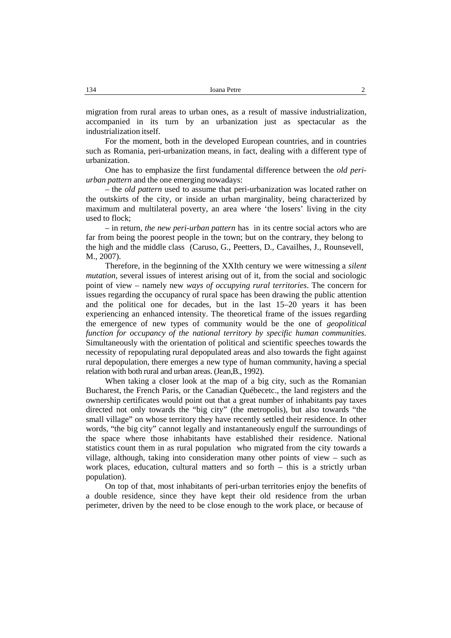migration from rural areas to urban ones, as a result of massive industrialization, accompanied in its turn by an urbanization just as spectacular as the industrialization itself.

For the moment, both in the developed European countries, and in countries such as Romania, peri-urbanization means, in fact, dealing with a different type of urbanization.

One has to emphasize the first fundamental difference between the *old peri urban pattern* and the one emerging nowadays:

– the *old pattern* used to assume that peri-urbanization was located rather on the outskirts of the city, or inside an urban marginality, being characterized by maximum and multilateral poverty, an area where 'the losers' living in the city used to flock;

– in return, *the new peri-urban pattern* has in its centre social actors who are far from being the poorest people in the town; but on the contrary, they belong to the high and the middle class (Caruso, G., Peetters, D., Cavailhes, J., Rounsevell, M., 2007).

Therefore, in the beginning of the XXIth century we were witnessing a *silent mutation*, several issues of interest arising out of it, from the social and sociologic point of view – namely new *ways of occupying rural territories*. The concern for issues regarding the occupancy of rural space has been drawing the public attention and the political one for decades, but in the last 15–20 years it has been experiencing an enhanced intensity. The theoretical frame of the issues regarding the emergence of new types of community would be the one of *geopolitical function for occupancy of the national territory by specific human communities.* Simultaneously with the orientation of political and scientific speeches towards the necessity of repopulating rural depopulated areas and also towards the fight against rural depopulation, there emerges a new type of human community, having a special relation with both rural and urban areas. (Jean,B., 1992).

When taking a closer look at the map of a big city, such as the Romanian Bucharest, the French Paris, or the Canadian Québecetc., the land registers and the ownership certificates would point out that a great number of inhabitants pay taxes directed not only towards the "big city" (the metropolis), but also towards "the small village" on whose territory they have recently settled their residence. In other words, "the big city" cannot legally and instantaneously engulf the surroundings of the space where those inhabitants have established their residence. National statistics count them in as rural population who migrated from the city towards a village, although, taking into consideration many other points of view – such as work places, education, cultural matters and so forth – this is a strictly urban population).

On top of that, most inhabitants of peri-urban territories enjoy the benefits of a double residence, since they have kept their old residence from the urban perimeter, driven by the need to be close enough to the work place, or because of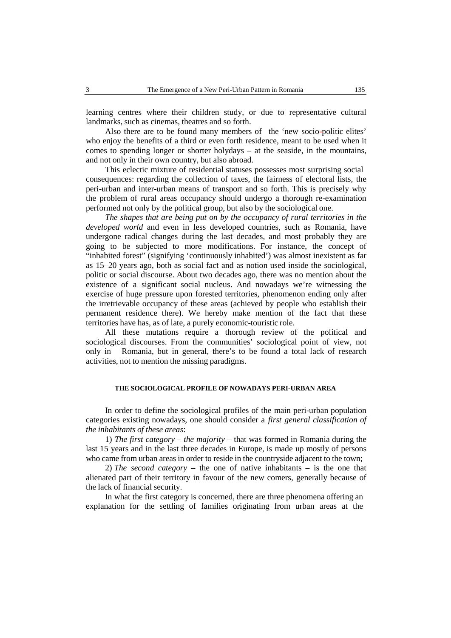learning centres where their children study, or due to representative cultural landmarks, such as cinemas, theatres and so forth.

Also there are to be found many members of the 'new socio-politic elites' who enjoy the benefits of a third or even forth residence, meant to be used when it comes to spending longer or shorter holydays – at the seaside, in the mountains, and not only in their own country, but also abroad.

This eclectic mixture of residential statuses possesses most surprising social consequences: regarding the collection of taxes, the fairness of electoral lists, the peri-urban and inter-urban means of transport and so forth. This is precisely why the problem of rural areas occupancy should undergo a thorough re-examination performed not only by the political group, but also by the sociological one.

*The shapes that are being put on by the occupancy of rural territories in the developed world* and even in less developed countries, such as Romania, have undergone radical changes during the last decades, and most probably they are going to be subjected to more modifications. For instance, the concept of "inhabited forest" (signifying 'continuously inhabited') was almost inexistent as far as 15–20 years ago, both as social fact and as notion used inside the sociological, politic or social discourse. About two decades ago, there was no mention about the existence of a significant social nucleus. And nowadays we're witnessing the exercise of huge pressure upon forested territories, phenomenon ending only after the irretrievable occupancy of these areas (achieved by people who establish their permanent residence there). We hereby make mention of the fact that these territories have has, as of late, a purely economic-touristic role.

All these mutations require a thorough review of the political and sociological discourses. From the communities' sociological point of view, not only in Romania, but in general, there's to be found a total lack of research activities, not to mention the missing paradigms.

## **THE SOCIOLOGICAL PROFILE OF NOWADAYS PERI-URBAN AREA**

In order to define the sociological profiles of the main peri-urban population categories existing nowadays, one should consider a *first general classification of the inhabitants of these areas*:

1) *The first category – the majority* – that was formed in Romania during the last 15 years and in the last three decades in Europe, is made up mostly of persons who came from urban areas in order to reside in the countryside adjacent to the town;

2) *The second category* – the one of native inhabitants – is the one that alienated part of their territory in favour of the new comers, generally because of the lack of financial security.

In what the first category is concerned, there are three phenomena offering an explanation for the settling of families originating from urban areas at the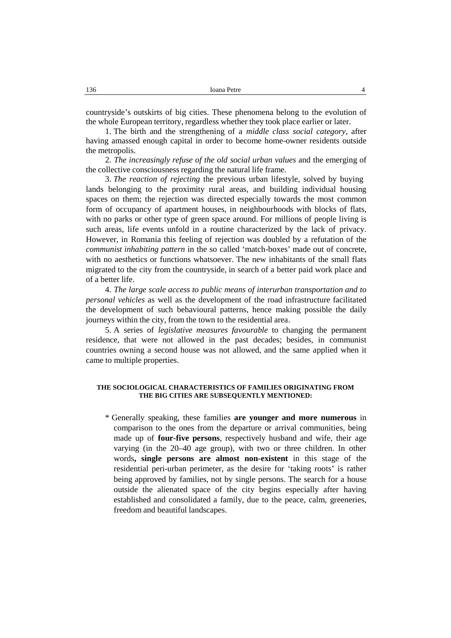countryside's outskirts of big cities. These phenomena belong to the evolution of the whole European territory, regardless whether they took place earlier or later.

1. The birth and the strengthening of a *middle class social category*, after having amassed enough capital in order to become home-owner residents outside the metropolis.

2. *The increasingly refuse of the old social urban values* and the emerging of the collective consciousness regarding the natural life frame.

3. *The reaction of rejecting* the previous urban lifestyle, solved by buying lands belonging to the proximity rural areas, and building individual housing spaces on them; the rejection was directed especially towards the most common form of occupancy of apartment houses, in neighbourhoods with blocks of flats, with no parks or other type of green space around. For millions of people living is such areas, life events unfold in a routine characterized by the lack of privacy. However, in Romania this feeling of rejection was doubled by a refutation of the *communist inhabiting pattern* in the so called 'match-boxes' made out of concrete, with no aesthetics or functions whatsoever. The new inhabitants of the small flats migrated to the city from the countryside, in search of a better paid work place and of a better life.

4. *The large scale access to public means of interurban transportation and to personal vehicles* as well as the development of the road infrastructure facilitated the development of such behavioural patterns, hence making possible the daily journeys within the city, from the town to the residential area.

5. A series of *legislative measures favourable* to changing the permanent residence, that were not allowed in the past decades; besides, in communist countries owning a second house was not allowed, and the same applied when it came to multiple properties.

## **THE SOCIOLOGICAL CHARACTERISTICS OF FAMILIES ORIGINATING FROM THE BIG CITIES ARE SUBSEQUENTLY MENTIONED:**

\* Generally speaking, these families **are younger and more numerous** in comparison to the ones from the departure or arrival communities, being made up of **four-five persons**, respectively husband and wife, their age varying (in the 20–40 age group), with two or three children. In other words**, single persons are almost non-existent** in this stage of the residential peri-urban perimeter, as the desire for 'taking roots' is rather being approved by families, not by single persons. The search for a house outside the alienated space of the city begins especially after having established and consolidated a family, due to the peace, calm, greeneries, freedom and beautiful landscapes.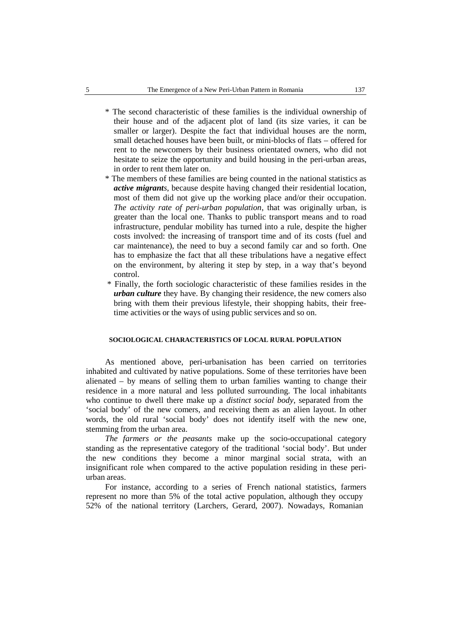- \* The second characteristic of these families is the individual ownership of their house and of the adjacent plot of land (its size varies, it can be smaller or larger). Despite the fact that individual houses are the norm, small detached houses have been built, or mini-blocks of flats – offered for rent to the newcomers by their business orientated owners, who did not hesitate to seize the opportunity and build housing in the peri-urban areas, in order to rent them later on.
- \* The members of these families are being counted in the national statistics as *active migrants*, because despite having changed their residential location, most of them did not give up the working place and/or their occupation. *The activity rate of peri-urban population*, that was originally urban, is greater than the local one. Thanks to public transport means and to road infrastructure, pendular mobility has turned into a rule, despite the higher costs involved: the increasing of transport time and of its costs (fuel and car maintenance), the need to buy a second family car and so forth. One has to emphasize the fact that all these tribulations have a negative effect on the environment, by altering it step by step, in a way that's beyond control.
- \* Finally, the forth sociologic characteristic of these families resides in the *urban culture* they have. By changing their residence, the new comers also bring with them their previous lifestyle, their shopping habits, their freetime activities or the ways of using public services and so on.

## **SOCIOLOGICAL CHARACTERISTICS OF LOCAL RURAL POPULATION**

As mentioned above, peri-urbanisation has been carried on territories inhabited and cultivated by native populations. Some of these territories have been alienated – by means of selling them to urban families wanting to change their residence in a more natural and less polluted surrounding. The local inhabitants who continue to dwell there make up a *distinct social body*, separated from the 'social body' of the new comers, and receiving them as an alien layout. In other words, the old rural 'social body' does not identify itself with the new one, stemming from the urban area.

*The farmers or the peasants* make up the socio-occupational category standing as the representative category of the traditional 'social body'. But under the new conditions they become a minor marginal social strata, with an insignificant role when compared to the active population residing in these peri urban areas.

For instance, according to a series of French national statistics, farmers represent no more than 5% of the total active population, although they occupy 52% of the national territory (Larchers, Gerard, 2007). Nowadays, Romanian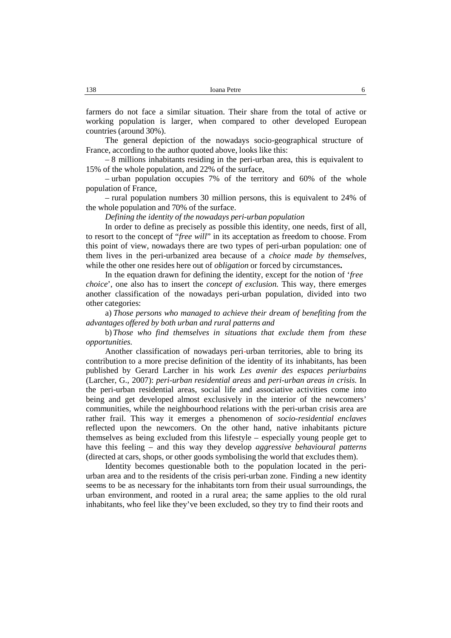farmers do not face a similar situation. Their share from the total of active or working population is larger, when compared to other developed European countries (around 30%).

The general depiction of the nowadays socio-geographical structure of France, according to the author quoted above, looks like this:

– 8 millions inhabitants residing in the peri-urban area, this is equivalent to 15% of the whole population, and 22% of the surface,

– urban population occupies 7% of the territory and 60% of the whole population of France,

– rural population numbers 30 million persons, this is equivalent to 24% of the whole population and 70% of the surface.

*Defining the identity of the nowadays peri-urban population*

In order to define as precisely as possible this identity, one needs, first of all, to resort to the concept of "*free will*" in its acceptation as freedom to choose. From this point of view, nowadays there are two types of peri-urban population: one of them lives in the peri-urbanized area because of a *choice made by themselves*, while the other one resides here out of *obligation* or forced by circumstances**.**

In the equation drawn for defining the identity, except for the notion of '*free choice*', one also has to insert the *concept of exclusion.* This way, there emerges another classification of the nowadays peri-urban population, divided into two other categories:

a) *Those persons who managed to achieve their dream of benefiting from the advantages offered by both urban and rural patterns and*

b) *Those who find themselves in situations that exclude them from these opportunities.*

Another classification of nowadays peri-urban territories, able to bring its contribution to a more precise definition of the identity of its inhabitants, has been published by Gerard Larcher in his work *Les avenir des espaces periurbains* (Larcher, G., 2007): *peri-urban residential areas* and *peri-urban areas in crisis.* In the peri-urban residential areas, social life and associative activities come into being and get developed almost exclusively in the interior of the newcomers' communities, while the neighbourhood relations with the peri-urban crisis area are rather frail. This way it emerges a phenomenon of *socio-residential enclaves* reflected upon the newcomers. On the other hand, native inhabitants picture themselves as being excluded from this lifestyle – especially young people get to have this feeling – and this way they develop *aggressive behavioural patterns* (directed at cars, shops, or other goods symbolising the world that excludes them).

Identity becomes questionable both to the population located in the peri urban area and to the residents of the crisis peri-urban zone. Finding a new identity seems to be as necessary for the inhabitants torn from their usual surroundings, the urban environment, and rooted in a rural area; the same applies to the old rural inhabitants, who feel like they've been excluded, so they try to find their roots and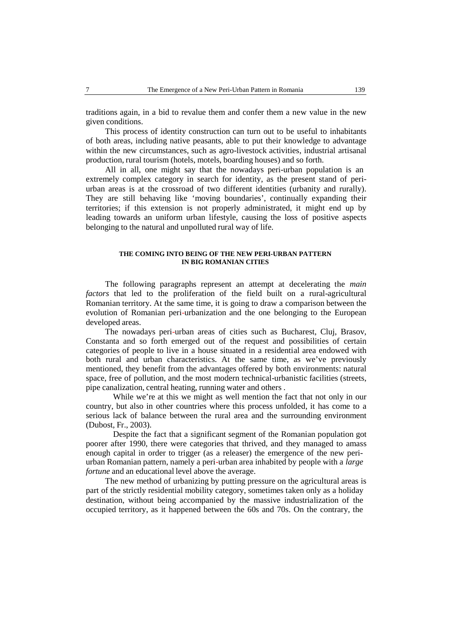traditions again, in a bid to revalue them and confer them a new value in the new given conditions.

This process of identity construction can turn out to be useful to inhabitants of both areas, including native peasants, able to put their knowledge to advantage within the new circumstances, such as agro-livestock activities, industrial artisanal production, rural tourism (hotels, motels, boarding houses) and so forth.

All in all, one might say that the nowadays peri-urban population is an extremely complex category in search for identity, as the present stand of periurban areas is at the crossroad of two different identities (urbanity and rurally). They are still behaving like 'moving boundaries', continually expanding their territories; if this extension is not properly administrated, it might end up by leading towards an uniform urban lifestyle, causing the loss of positive aspects belonging to the natural and unpolluted rural way of life.

#### **THE COMING INTO BEING OF THE NEW PERI-URBAN PATTERN IN BIG ROMANIAN CITIES**

The following paragraphs represent an attempt at decelerating the *main factors* that led to the proliferation of the field built on a rural-agricultural Romanian territory. At the same time, it is going to draw a comparison between the evolution of Romanian peri-urbanization and the one belonging to the European developed areas.

The nowadays peri-urban areas of cities such as Bucharest, Cluj, Brasov, Constanta and so forth emerged out of the request and possibilities of certain categories of people to live in a house situated in a residential area endowed with both rural and urban characteristics. At the same time, as we've previously mentioned, they benefit from the advantages offered by both environments: natural space, free of pollution, and the most modern technical-urbanistic facilities (streets, pipe canalization, central heating, running water and others .

While we're at this we might as well mention the fact that not only in our country, but also in other countries where this process unfolded, it has come to a serious lack of balance between the rural area and the surrounding environment (Dubost, Fr., 2003).

Despite the fact that a significant segment of the Romanian population got poorer after 1990, there were categories that thrived, and they managed to amass enough capital in order to trigger (as a releaser) the emergence of the new peri urban Romanian pattern, namely a peri-urban area inhabited by people with a *large fortune* and an educational level above the average.

The new method of urbanizing by putting pressure on the agricultural areas is part of the strictly residential mobility category, sometimes taken only as a holiday destination, without being accompanied by the massive industrialization of the occupied territory, as it happened between the 60s and 70s. On the contrary, the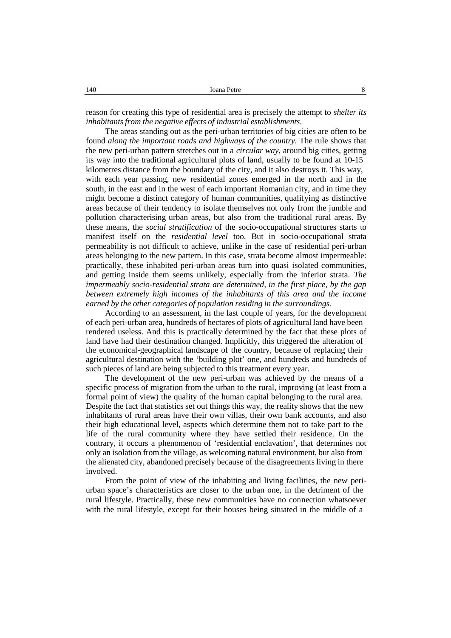reason for creating this type of residential area is precisely the attempt to *shelter its inhabitants from the negative effects of industrial establishments*.

The areas standing out as the peri-urban territories of big cities are often to be found *along the important roads and highways of the country.* The rule shows that the new peri-urban pattern stretches out in a *circular way*, around big cities, getting its way into the traditional agricultural plots of land, usually to be found at 10-15 kilometres distance from the boundary of the city, and it also destroys it.This way, with each year passing, new residential zones emerged in the north and in the south, in the east and in the west of each important Romanian city, and in time they might become a distinct category of human communities, qualifying as distinctive areas because of their tendency to isolate themselves not only from the jumble and pollution characterising urban areas, but also from the traditional rural areas. By these means, the *social stratification* of the socio-occupational structures starts to manifest itself on the *residential level* too. But in socio-occupational strata permeability is not difficult to achieve, unlike in the case of residential peri-urban areas belonging to the new pattern. In this case, strata become almost impermeable: practically, these inhabited peri-urban areas turn into quasi isolated communities, and getting inside them seems unlikely, especially from the inferior strata. *The impermeably socio-residential strata are determined, in the first place, by the gap between extremely high incomes of the inhabitants of this area and the income earned by the other categories of population residing in the surroundings.*

According to an assessment, in the last couple of years, for the development of each peri-urban area, hundreds of hectares of plots of agricultural land have been rendered useless. And this is practically determined by the fact that these plots of land have had their destination changed. Implicitly, this triggered the alteration of the economical-geographical landscape of the country, because of replacing their agricultural destination with the 'building plot' one, and hundreds and hundreds of such pieces of land are being subjected to this treatment every year.

The development of the new peri-urban was achieved by the means of a specific process of migration from the urban to the rural, improving (at least from a formal point of view) the quality of the human capital belonging to the rural area. Despite the fact that statistics set out things this way, the reality shows that the new inhabitants of rural areas have their own villas, their own bank accounts, and also their high educational level, aspects which determine them not to take part to the life of the rural community where they have settled their residence. On the contrary, it occurs a phenomenon of 'residential enclavation', that determines not only an isolation from the village, as welcoming natural environment, but also from the alienated city, abandoned precisely because of the disagreements living in there involved.

From the point of view of the inhabiting and living facilities, the new peri urban space's characteristics are closer to the urban one, in the detriment of the rural lifestyle. Practically, these new communities have no connection whatsoever with the rural lifestyle, except for their houses being situated in the middle of a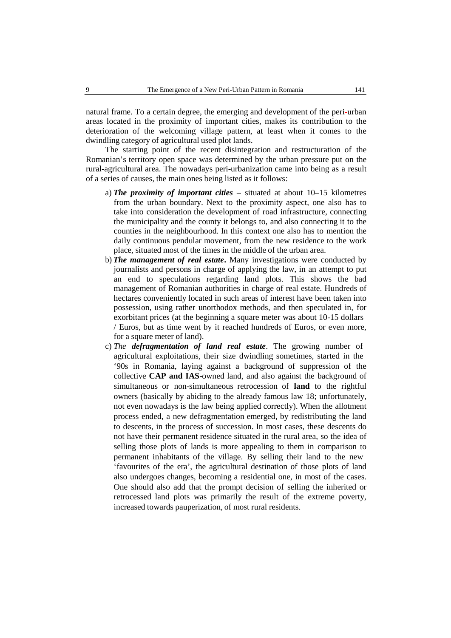natural frame. To a certain degree, the emerging and development of the peri-urban areas located in the proximity ofimportant cities, makes its contribution to the deterioration of the welcoming village pattern, at least when it comes to the dwindling category of agricultural used plot lands.

The starting point of the recent disintegration and restructuration of the Romanian's territory open space was determined by the urban pressure put on the rural-agricultural area. The nowadays peri-urbanization came into being as a result of a series of causes, the main ones being listed as it follows:

- a) *The proximity of important cities* situated at about 10–15 kilometres from the urban boundary. Next to the proximity aspect, one also has to take into consideration the development of road infrastructure, connecting the municipality and the county it belongs to, and also connecting it to the counties in the neighbourhood. In this context one also has to mention the daily continuous pendular movement, from the new residence to the work place, situated most of the times in the middle of the urban area.
- b) *The management of real estate***.** Many investigations were conducted by journalists and persons in charge of applying the law, in an attempt to put an end to speculations regarding land plots. This shows the bad management of Romanian authorities in charge of real estate. Hundreds of hectares conveniently located in such areas of interest have been taken into possession, using rather unorthodox methods, and then speculated in, for exorbitant prices (at the beginning a square meter was about 10-15 dollars / Euros, but as time went by it reached hundreds of Euros, or even more, for a square meter of land).
- c) *The defragmentation of land real estate*. The growing number of agricultural exploitations, their size dwindling sometimes, started in the '90s in Romania, laying against a background of suppression of the collective **CAP and IAS**-owned land, and also against the background of simultaneous or non-simultaneous retrocession of **land** to the rightful owners (basically by abiding to the already famous law 18; unfortunately, not even nowadays is the law being applied correctly). When the allotment process ended, a new defragmentation emerged, by redistributing the land to descents, in the process of succession. In most cases, these descents do not have their permanent residence situated in the rural area, so the idea of selling those plots of lands is more appealing to them in comparison to permanent inhabitants of the village. By selling their land to the new 'favourites of the era', the agricultural destination of those plots of land also undergoes changes, becoming a residential one, in most of the cases. One should also add that the prompt decision of selling the inherited or retrocessed land plots was primarily the result of the extreme poverty, increased towards pauperization, of most rural residents.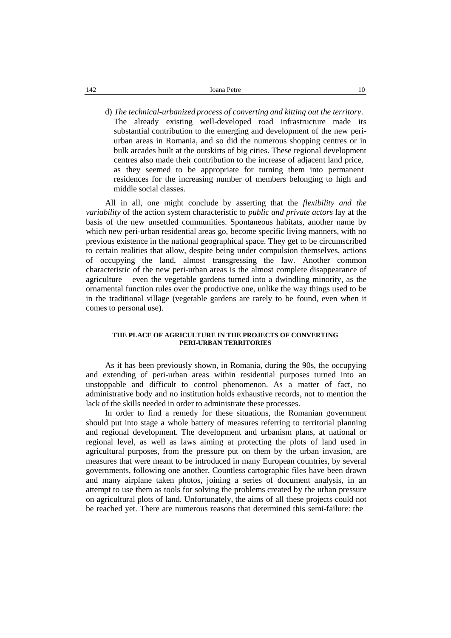d) *The technical-urbanized process of converting and kitting out the territory*. The already existing well-developed road infrastructure made its substantial contribution to the emerging and development of the new peri urban areas in Romania, and so did the numerous shopping centres or in bulk arcades built at the outskirts of big cities. These regional development centres also made their contribution to the increase of adjacent land price, as they seemed to be appropriate for turning them into permanent residences for the increasing number of members belonging to high and middle social classes.

All in all, one might conclude by asserting that the *flexibility and the variability* of the action system characteristic to *public and private actors* lay at the basis of the new unsettled communities. Spontaneous habitats, another name by which new peri-urban residential areas go, become specific living manners, with no previous existence in the national geographical space. They get to be circumscribed to certain realities that allow, despite being under compulsion themselves, actions of occupying the land, almost transgressing the law. Another common characteristic of the new peri-urban areas is the almost complete disappearance of agriculture – even the vegetable gardens turned into a dwindling minority, as the ornamental function rules over the productive one, unlike the way things used to be in the traditional village (vegetable gardens are rarely to be found, even when it comes to personal use).

#### **THE PLACE OF AGRICULTURE IN THE PROJECTS OF CONVERTING PERI-URBAN TERRITORIES**

As ithas been previously shown, in Romania, during the 90s, the occupying and extending of peri-urban areas within residential purposes turned into an unstoppable and difficult to control phenomenon. As a matter of fact, no administrative body and no institution holds exhaustive records, not to mention the lack of the skills needed in order to administrate these processes.

In order to find a remedy for these situations, the Romanian government should put into stage a whole battery of measures referring to territorial planning and regional development. The development and urbanism plans, at national or regional level, as well as laws aiming at protecting the plots of land used in agricultural purposes, from the pressure put on them by the urban invasion, are measures that were meant to be introduced in many European countries, by several governments, following one another. Countless cartographic files have been drawn and many airplane taken photos, joining a series of document analysis, in an attempt to use them as tools for solving the problems created by the urban pressure on agricultural plots of land. Unfortunately, the aims of all these projects could not be reached yet.There are numerous reasons that determined this semi-failure: the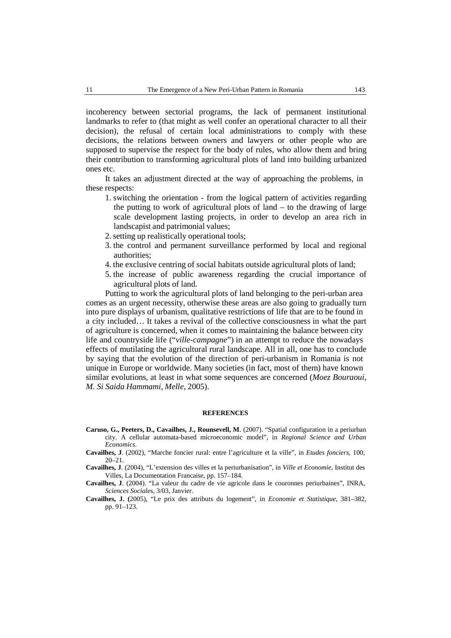incoherency between sectorial programs, the lack of permanent institutional landmarks to refer to (that might as well confer an operational character to all their decision), the refusal of certain local administrations to comply with these decisions, the relations between owners and lawyers or other people who are supposed to supervise the respect for the body of rules, who allow them and bring their contribution to transforming agricultural plots of land into building urbanized ones etc.

It takes an adjustment directed at the way of approaching the problems, in these respects:

- 1. switching the orientation from the logical pattern of activities regarding the putting to work of agricultural plots of land  $-$  to the drawing of large scale development lasting projects, in order to develop an area rich in landscapist and patrimonial values;
- 2. setting up realistically operational tools;
- 3. the control and permanent surveillance performed by local and regional authorities;
- 4. the exclusive centring of social habitats outside agricultural plots of land;
- 5. the increase of public awareness regarding the crucial importance of agricultural plots of land.

Putting to work the agricultural plots of land belonging to the peri-urban area comes as an urgent necessity, otherwise these areas are also going to gradually turn into pure displays of urbanism, qualitative restrictions of life that are to be found in a city included… It takes a revival of the collective consciousness in what the part of agriculture is concerned, when it comes to maintaining the balance between city life and countryside life ("*ville-campagne*") in an attempt to reduce the nowadays effects of mutilating the agricultural rural landscape. All in all, one has to conclude by saying that the evolution of the direction of peri-urbanism in Romania is not unique in Europe or worldwide. Many societies (in fact, most of them) have known similar evolutions, at least in what some sequences are concerned (*Moez Bouraoui, M. Si Saida Hammami, Melle*, 2005).

#### **REFERENCES**

- **Caruso, G., Peeters, D., Cavailhes, J., Rounsevell, M**. (2007). "Spatial configuration in a periurban city. A cellular automata-based microeconomic model", in *Regional Science and Urban Economics*.
- **Cavailhes, J**. (2002), "Marche foncier rural: entre l'agriculture et la ville", in *Etudes fonciers*, 100, 20–21.
- **Cavailhes, J**. (2004), "L'extension des villes et la periurbanisation", in *Ville et Economie*, Institut des Villes, La Documentation Francaise, pp. 157–184.
- **Cavailhes, J**. (2004). "La valeur du cadre de vie agricole dans le couronnes periurbaines", INRA, *Sciences Sociales*, 3/03, Janvier.
- **Cavailhes, J. (**2005), "Le prix des attributs du logement", in *Economie etStatistique*, 381–382, pp. 91–123.